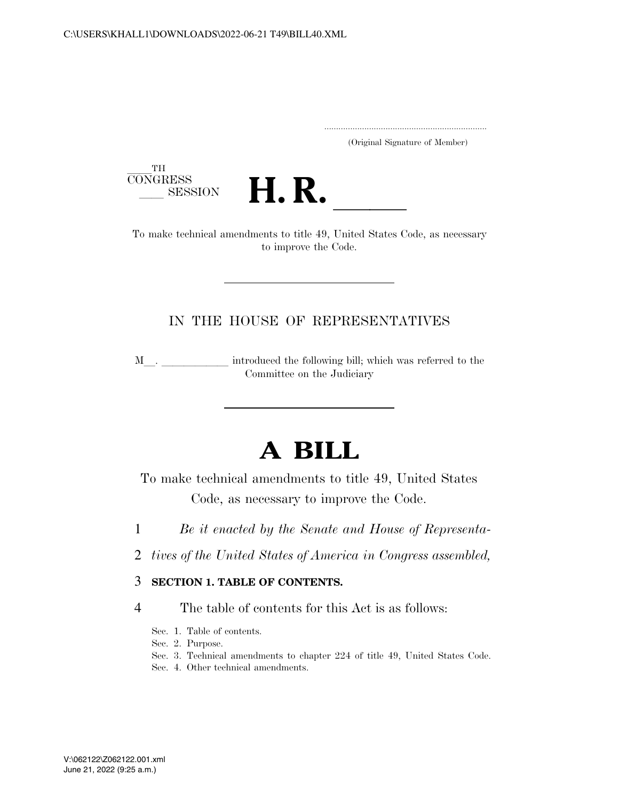..................................................................... (Original Signature of Member)

 $\frac{TH}{CONGRESS}$ 



to improve the Code.

## IN THE HOUSE OF REPRESENTATIVES

M. Luis introduced the following bill; which was referred to the Committee on the Judiciary

# **A BILL**

To make technical amendments to title 49, United States Code, as necessary to improve the Code.

- 1 *Be it enacted by the Senate and House of Representa-*
- 2 *tives of the United States of America in Congress assembled,*

### 3 **SECTION 1. TABLE OF CONTENTS.**

4 The table of contents for this Act is as follows:

Sec. 1. Table of contents.

Sec. 2. Purpose.

- Sec. 3. Technical amendments to chapter 224 of title 49, United States Code.
- Sec. 4. Other technical amendments.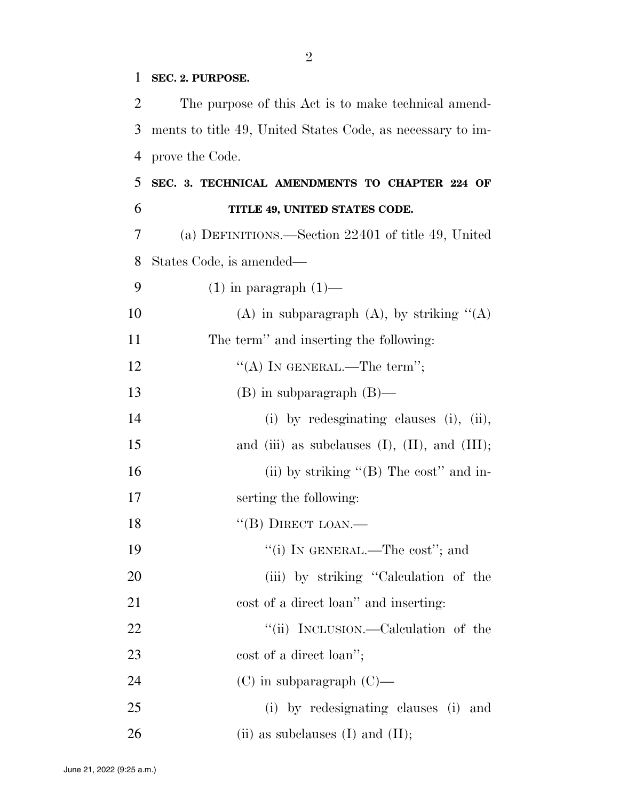## **SEC. 2. PURPOSE.**

| 2              | The purpose of this Act is to make technical amend-        |
|----------------|------------------------------------------------------------|
| 3              | ments to title 49, United States Code, as necessary to im- |
| $\overline{4}$ | prove the Code.                                            |
| 5              | SEC. 3. TECHNICAL AMENDMENTS TO CHAPTER 224 OF             |
| 6              | TITLE 49, UNITED STATES CODE.                              |
| 7              | (a) DEFINITIONS.—Section 22401 of title 49, United         |
| 8              | States Code, is amended—                                   |
| 9              | $(1)$ in paragraph $(1)$ —                                 |
| 10             | (A) in subparagraph (A), by striking $\lq\lq$ (A)          |
| 11             | The term" and inserting the following:                     |
| 12             | "(A) IN GENERAL.—The term";                                |
| 13             | $(B)$ in subparagraph $(B)$ —                              |
| 14             | (i) by redesginating clauses (i), (ii),                    |
| 15             | and (iii) as subclauses $(I)$ , $(II)$ , and $(III)$ ;     |
| 16             | (ii) by striking " $(B)$ The cost" and in-                 |
| 17             | serting the following:                                     |
| 18             | "(B) DIRECT LOAN.—                                         |
| 19             | "(i) IN GENERAL.—The cost"; and                            |
| 20             | (iii) by striking "Calculation of the                      |
| 21             | cost of a direct loan" and inserting:                      |
| 22             | "(ii) INCLUSION.—Calculation of the                        |
| 23             | cost of a direct loan";                                    |
| 24             | $(C)$ in subparagraph $(C)$ —                              |
| 25             | (i) by redesignating clauses (i)<br>and                    |
| 26             | (ii) as subclauses $(I)$ and $(II)$ ;                      |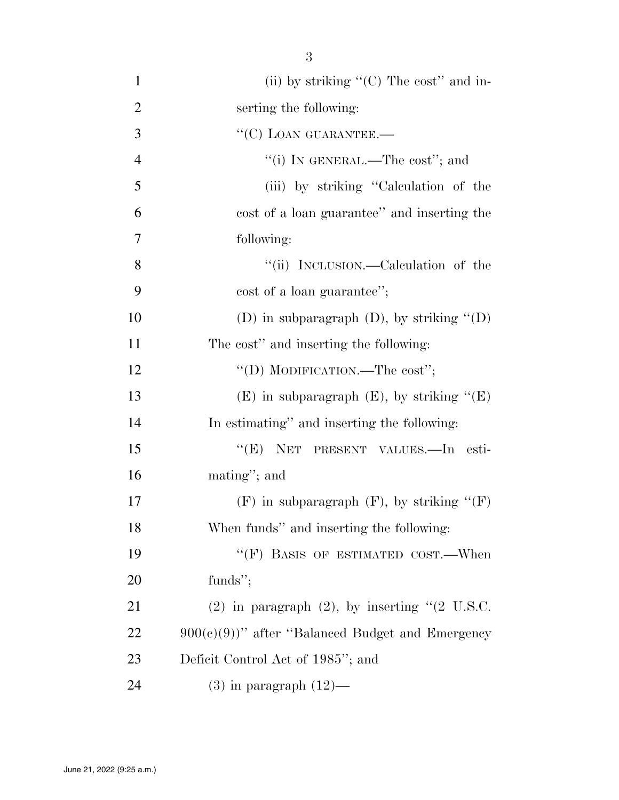| $\mathbf{1}$   | (ii) by striking $\lq\lq$ (C) The cost" and in-                |
|----------------|----------------------------------------------------------------|
| $\overline{2}$ | serting the following:                                         |
| 3              | $``(C)$ LOAN GUARANTEE.—                                       |
| $\overline{4}$ | "(i) IN GENERAL.—The cost"; and                                |
| 5              | (iii) by striking "Calculation of the                          |
| 6              | cost of a loan guarantee" and inserting the                    |
| 7              | following:                                                     |
| 8              | "(ii) INCLUSION.—Calculation of the                            |
| 9              | cost of a loan guarantee";                                     |
| 10             | (D) in subparagraph $(D)$ , by striking $\lq (D)$              |
| 11             | The cost" and inserting the following:                         |
| 12             | "(D) MODIFICATION.—The cost";                                  |
| 13             | $(E)$ in subparagraph $(E)$ , by striking " $(E)$              |
| 14             | In estimating" and inserting the following:                    |
| 15             | NET PRESENT VALUES.-In esti-<br>``(E)                          |
| 16             | mating"; and                                                   |
| 17             | $(F)$ in subparagraph $(F)$ , by striking " $(F)$              |
| 18             | When funds" and inserting the following:                       |
| 19             | "(F) BASIS OF ESTIMATED COST.—When                             |
| 20             | funds";                                                        |
| 21             | $(2)$ in paragraph $(2)$ , by inserting " $(2 \text{ U.S.C.})$ |
| 22             | $900(e)(9)$ " after "Balanced Budget and Emergency             |
| 23             | Deficit Control Act of 1985"; and                              |
| 24             | $(3)$ in paragraph $(12)$ —                                    |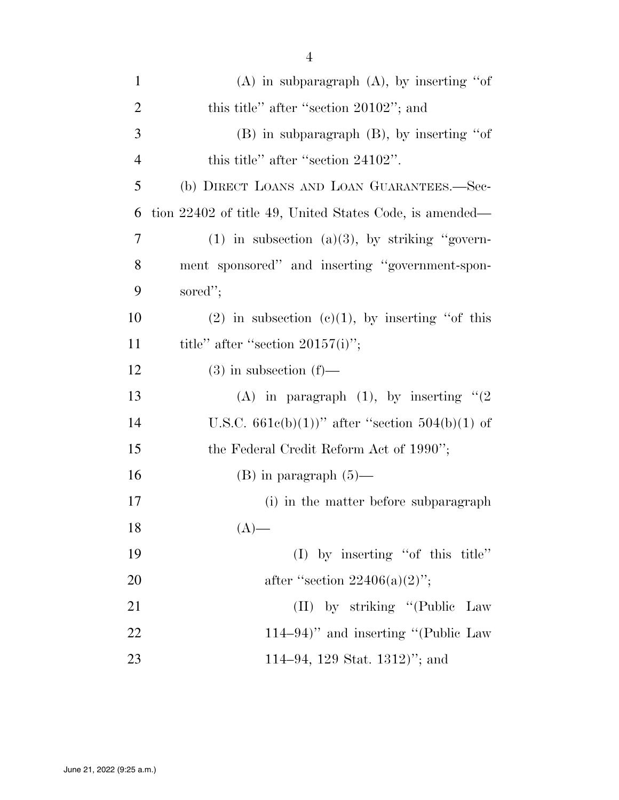| $\mathbf{1}$   | $(A)$ in subparagraph $(A)$ , by inserting "of          |
|----------------|---------------------------------------------------------|
| $\overline{2}$ | this title" after "section 20102"; and                  |
| 3              | $(B)$ in subparagraph $(B)$ , by inserting "of          |
| $\overline{4}$ | this title" after "section 24102".                      |
| 5              | (b) DIRECT LOANS AND LOAN GUARANTEES.—Sec-              |
| 6              | tion 22402 of title 49, United States Code, is amended— |
| 7              | $(1)$ in subsection $(a)(3)$ , by striking "govern-     |
| 8              | ment sponsored" and inserting "government-spon-         |
| 9              | sored";                                                 |
| 10             | (2) in subsection (c)(1), by inserting "of this         |
| 11             | title" after "section $20157(i)$ ";                     |
| 12             | $(3)$ in subsection $(f)$ —                             |
| 13             | (A) in paragraph $(1)$ , by inserting " $(2)$           |
| 14             | U.S.C. $661c(b)(1)$ " after "section $504(b)(1)$ of     |
| 15             | the Federal Credit Reform Act of 1990";                 |
| 16             | $(B)$ in paragraph $(5)$ —                              |
| 17             | (i) in the matter before subparagraph                   |
| 18             | $(A)$ —                                                 |
| 19             | $(I)$ by inserting "of this title"                      |
| 20             | after "section $22406(a)(2)$ ";                         |
| 21             | (II) by striking "(Public Law                           |
| 22             | $(114-94)$ " and inserting "(Public Law                 |
| 23             | 114–94, 129 Stat. 1312)"; and                           |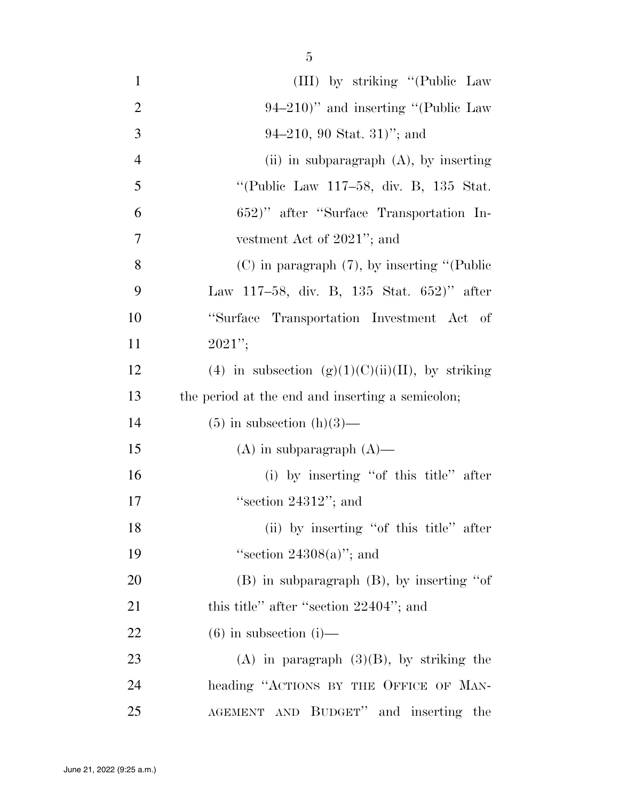| $\mathbf{1}$   | (III) by striking "(Public Law                      |
|----------------|-----------------------------------------------------|
| $\overline{2}$ | $94-210$ " and inserting "(Public Law               |
| 3              | 94–210, 90 Stat. 31)"; and                          |
| $\overline{4}$ | (ii) in subparagraph $(A)$ , by inserting           |
| 5              | "(Public Law 117-58, div. B, 135 Stat.              |
| 6              | 652)" after "Surface Transportation In-             |
| 7              | vestment Act of 2021"; and                          |
| 8              | $(C)$ in paragraph $(7)$ , by inserting "(Public    |
| 9              | Law 117–58, div. B, 135 Stat. 652)" after           |
| 10             | "Surface Transportation Investment Act of           |
| 11             | $2021$ ";                                           |
| 12             | (4) in subsection $(g)(1)(C)(ii)(II)$ , by striking |
| 13             | the period at the end and inserting a semicolon;    |
| 14             | $(5)$ in subsection $(h)(3)$ —                      |
| 15             | $(A)$ in subparagraph $(A)$ —                       |
| 16             | (i) by inserting "of this title" after              |
| 17             | "section $24312"$ ; and                             |
| 18             | (ii) by inserting "of this title" after             |
| 19             | "section $24308(a)$ "; and                          |
| 20             | $(B)$ in subparagraph $(B)$ , by inserting "of      |
| 21             | this title" after "section 22404"; and              |
| 22             | $(6)$ in subsection $(i)$ —                         |
| 23             | $(A)$ in paragraph $(3)(B)$ , by striking the       |
| 24             | heading "ACTIONS BY THE OFFICE OF MAN-              |
| 25             | AGEMENT AND BUDGET" and inserting the               |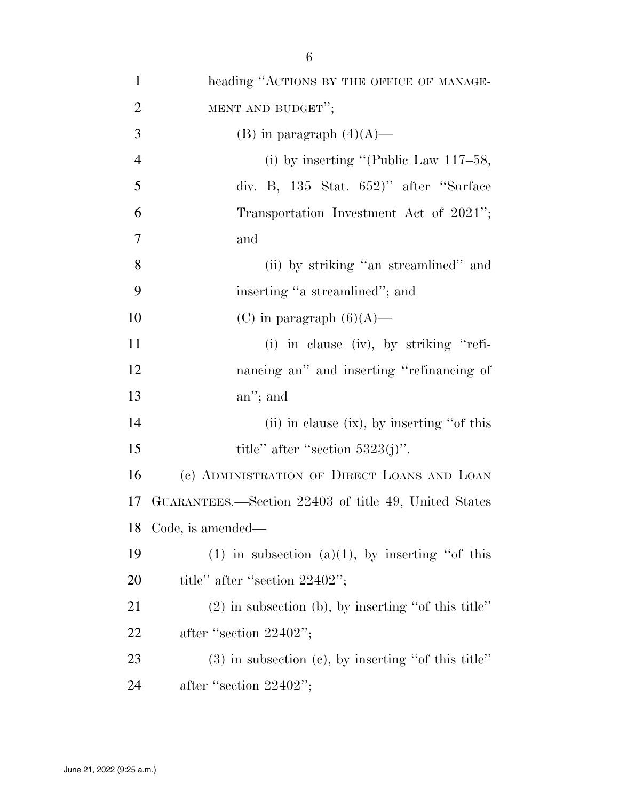| $\mathbf{1}$   | heading "ACTIONS BY THE OFFICE OF MANAGE-             |
|----------------|-------------------------------------------------------|
| $\overline{2}$ | MENT AND BUDGET";                                     |
| 3              | (B) in paragraph $(4)(A)$ —                           |
| $\overline{4}$ | (i) by inserting "(Public Law $117-58$ ,              |
| 5              | div. B, $135$ Stat. $652$ )" after "Surface           |
| 6              | Transportation Investment Act of 2021";               |
| $\tau$         | and                                                   |
| 8              | (ii) by striking "an streamlined" and                 |
| 9              | inserting "a streamlined"; and                        |
| 10             | (C) in paragraph $(6)(A)$ —                           |
| 11             | $(i)$ in clause $(iv)$ , by striking "refi-           |
| 12             | nancing an" and inserting "refinancing of             |
| 13             | $an$ "; and                                           |
| 14             | $(ii)$ in clause $(ix)$ , by inserting "of this       |
| 15             | title" after "section $5323(j)$ ".                    |
| 16             | (c) ADMINISTRATION OF DIRECT LOANS AND LOAN           |
| 17             | GUARANTEES.—Section 22403 of title 49, United States  |
| 18             | Code, is amended—                                     |
| 19             | $(1)$ in subsection $(a)(1)$ , by inserting "of this  |
| <b>20</b>      | title" after "section 22402";                         |
| 21             | $(2)$ in subsection (b), by inserting "of this title" |
| 22             | after "section $22402"$ ;                             |
| 23             | $(3)$ in subsection (c), by inserting "of this title" |
| 24             | after "section $22402"$ ;                             |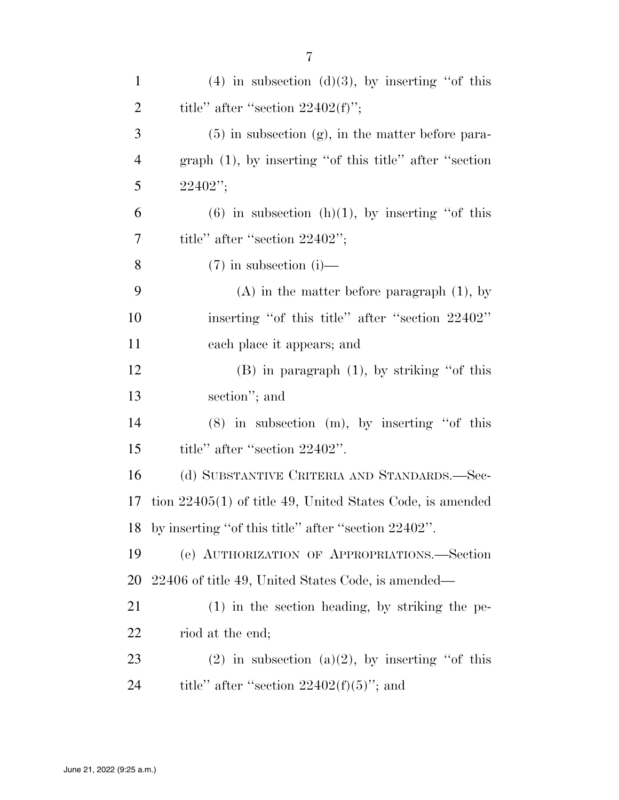| $\mathbf{1}$   | $(4)$ in subsection $(d)(3)$ , by inserting "of this        |
|----------------|-------------------------------------------------------------|
| $\overline{2}$ | title" after "section $22402(f)$ ";                         |
| 3              | $(5)$ in subsection $(g)$ , in the matter before para-      |
| $\overline{4}$ | graph $(1)$ , by inserting "of this title" after "section   |
| 5              | $22402"$ ;                                                  |
| 6              | $(6)$ in subsection $(h)(1)$ , by inserting "of this        |
| 7              | title" after "section 22402";                               |
| 8              | $(7)$ in subsection (i)—                                    |
| 9              | $(A)$ in the matter before paragraph $(1)$ , by             |
| 10             | inserting "of this title" after "section 22402"             |
| 11             | each place it appears; and                                  |
| 12             | $(B)$ in paragraph $(1)$ , by striking "of this             |
| 13             | section"; and                                               |
| 14             | $(8)$ in subsection $(m)$ , by inserting "of this           |
| 15             | title" after "section 22402".                               |
| 16             | (d) SUBSTANTIVE CRITERIA AND STANDARDS.—Sec-                |
| 17             | tion $22405(1)$ of title 49, United States Code, is amended |
| 18             | by inserting "of this title" after "section 22402".         |
| 19             | (e) AUTHORIZATION OF APPROPRIATIONS.-Section                |
| 20             | 22406 of title 49, United States Code, is amended—          |
| 21             | $(1)$ in the section heading, by striking the pe-           |
| 22             | riod at the end;                                            |
| 23             | $(2)$ in subsection $(a)(2)$ , by inserting "of this        |
|                |                                                             |

24 title'' after "section  $22402(f)(5)$ "; and